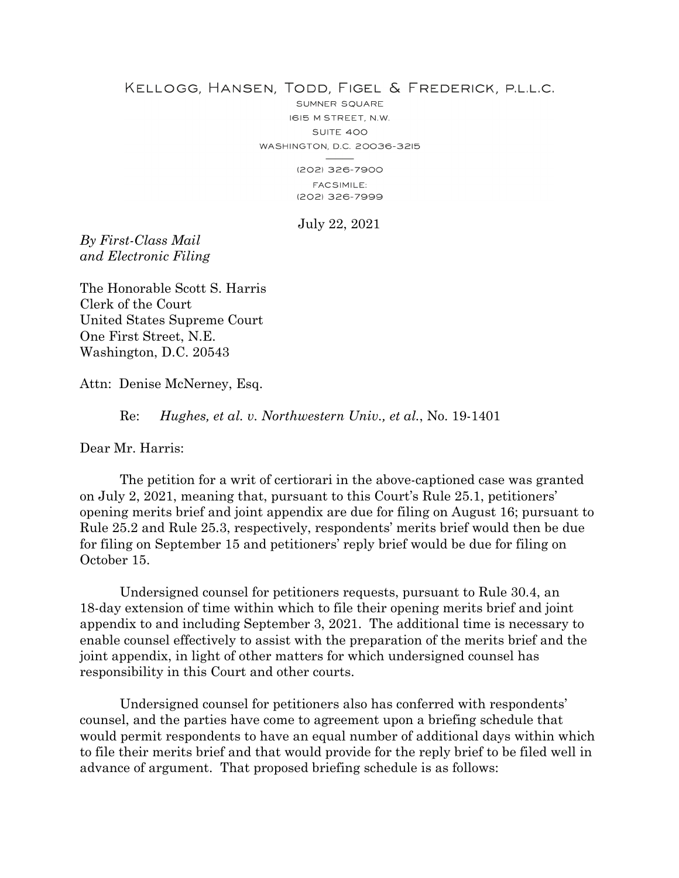## KELLOGG, HANSEN, TODD, FIGEL & FREDERICK, P.L.L.C.

SUMNER SQUARE I6I5 M STREET, N.W. SUITE 400 WASHINGTON, D.C. 20036-3215

(202) 326-7900 **FACSIMILE:** (202) 326-7999

July 22, 2021

*By First-Class Mail and Electronic Filing*

The Honorable Scott S. Harris Clerk of the Court United States Supreme Court One First Street, N.E. Washington, D.C. 20543

Attn: Denise McNerney, Esq.

Re: *Hughes, et al. v. Northwestern Univ., et al.*, No. 19-1401

Dear Mr. Harris:

 The petition for a writ of certiorari in the above-captioned case was granted on July 2, 2021, meaning that, pursuant to this Court's Rule 25.1, petitioners' opening merits brief and joint appendix are due for filing on August 16; pursuant to Rule 25.2 and Rule 25.3, respectively, respondents' merits brief would then be due for filing on September 15 and petitioners' reply brief would be due for filing on October 15.

 Undersigned counsel for petitioners requests, pursuant to Rule 30.4, an 18-day extension of time within which to file their opening merits brief and joint appendix to and including September 3, 2021. The additional time is necessary to enable counsel effectively to assist with the preparation of the merits brief and the joint appendix, in light of other matters for which undersigned counsel has responsibility in this Court and other courts.

Undersigned counsel for petitioners also has conferred with respondents' counsel, and the parties have come to agreement upon a briefing schedule that would permit respondents to have an equal number of additional days within which to file their merits brief and that would provide for the reply brief to be filed well in advance of argument. That proposed briefing schedule is as follows: